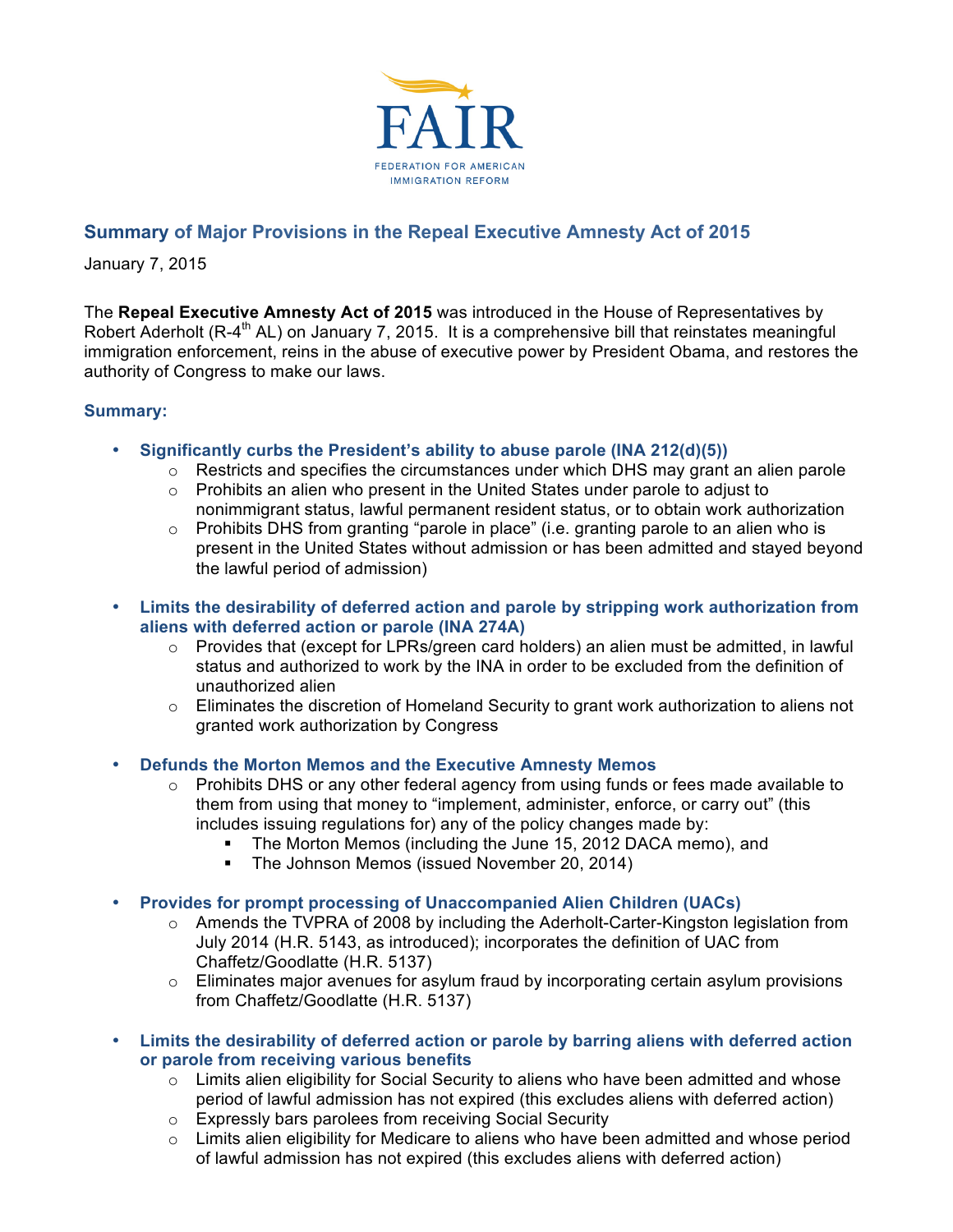

# **Summary of Major Provisions in the Repeal Executive Amnesty Act of 2015**

January 7, 2015

The **Repeal Executive Amnesty Act of 2015** was introduced in the House of Representatives by Robert Aderholt (R-4<sup>th</sup> AL) on January 7, 2015. It is a comprehensive bill that reinstates meaningful immigration enforcement, reins in the abuse of executive power by President Obama, and restores the authority of Congress to make our laws.

## **Summary:**

- **Significantly curbs the President's ability to abuse parole (INA 212(d)(5))** 
	- $\circ$  Restricts and specifies the circumstances under which DHS may grant an alien parole
	- $\circ$  Prohibits an alien who present in the United States under parole to adjust to nonimmigrant status, lawful permanent resident status, or to obtain work authorization
	- $\circ$  Prohibits DHS from granting "parole in place" (i.e. granting parole to an alien who is present in the United States without admission or has been admitted and stayed beyond the lawful period of admission)
- **Limits the desirability of deferred action and parole by stripping work authorization from aliens with deferred action or parole (INA 274A)**
	- $\circ$  Provides that (except for LPRs/green card holders) an alien must be admitted, in lawful status and authorized to work by the INA in order to be excluded from the definition of unauthorized alien
	- $\circ$  Eliminates the discretion of Homeland Security to grant work authorization to aliens not granted work authorization by Congress
- **Defunds the Morton Memos and the Executive Amnesty Memos**
	- $\circ$  Prohibits DHS or any other federal agency from using funds or fees made available to them from using that money to "implement, administer, enforce, or carry out" (this includes issuing regulations for) any of the policy changes made by:
		- The Morton Memos (including the June 15, 2012 DACA memo), and
		- **The Johnson Memos (issued November 20, 2014)**
- **Provides for prompt processing of Unaccompanied Alien Children (UACs)**
	- $\circ$  Amends the TVPRA of 2008 by including the Aderholt-Carter-Kingston legislation from July 2014 (H.R. 5143, as introduced); incorporates the definition of UAC from Chaffetz/Goodlatte (H.R. 5137)
	- $\circ$  Eliminates major avenues for asylum fraud by incorporating certain asylum provisions from Chaffetz/Goodlatte (H.R. 5137)
- **Limits the desirability of deferred action or parole by barring aliens with deferred action or parole from receiving various benefits**
	- $\circ$  Limits alien eligibility for Social Security to aliens who have been admitted and whose period of lawful admission has not expired (this excludes aliens with deferred action)
	- o Expressly bars parolees from receiving Social Security
	- $\circ$  Limits alien eligibility for Medicare to aliens who have been admitted and whose period of lawful admission has not expired (this excludes aliens with deferred action)